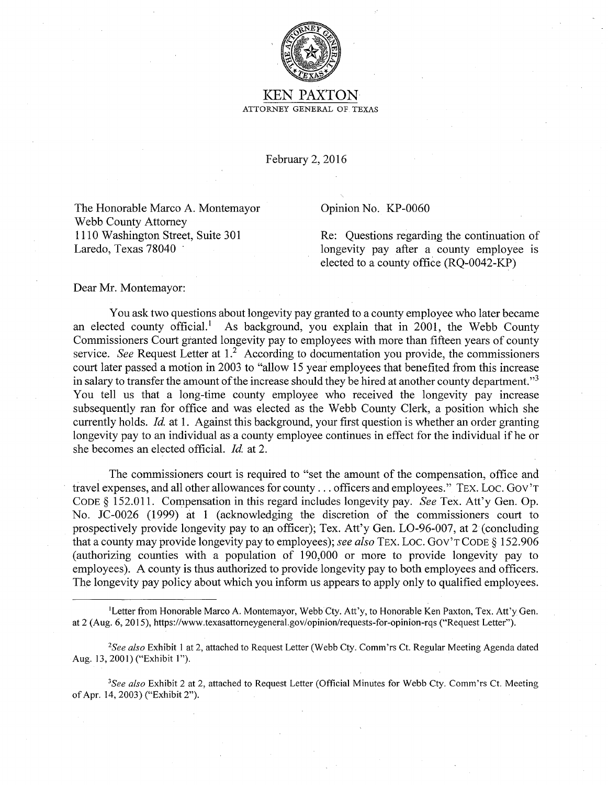

## KEN PAXTON ATTORNEY GENERAL OF TEXAS

February 2, 2016

The Honorable Marco A. Montemayor Webb County Attorney 1110 Washington Street, Suite 301 Laredo, Texas 78040

Opinion No. KP-0060

Re: Questions regarding the continuation of longevity pay after a county employee is elected to a county office (RQ-0042-KP)

Dear Mr. Montemayor:

You ask two questions about longevity pay granted to a county employee who later became an elected county official.<sup>1</sup> As background, you explain that in 2001, the Webb County Commissioners Court granted longevity pay to employees with more than fifteen years of county service. *See* Request Letter at 1.<sup>2</sup> According to documentation you provide, the commissioners court later passed a motion in 2003 to "allow 15 year employees that benefited from this increase in salary to transfer the amount of the increase should they be hired at another county department."<sup>3</sup> You tell us that a long-time county employee who received the longevity pay increase subsequently ran for office and was elected as the Webb County Clerk, a position which she currently holds. *Id.* at 1. Against this background, your first question is whether an order granting longevity pay to an individual as a county employee continues in effect for the individual if he or she becomes an elected official. *Id.* at 2.

The commissioners court is required to "set the amount of the compensation, office and travel expenses, and all other allowances for county . . . officers and employees." TEX. Loc. Gov't CODE§ 152.011. Compensation in this regard includes longevity pay. *See* Tex. Att'y Gen. Op. No. JC-0026 (1999) at 1 (acknowledging the discretion of the commissioners court to prospectively provide longevity pay to ap officer); Tex. Att'y Gen. L0-96-007, at 2 (concluding that a county may provide longevity pay to employees); *see also* TEX. Loe. Gov'T CODE§ 152.906 (authorizing counties with a population of 190,000 or more to provide longevity pay to employees). A county is thus authorized to provide longevity pay to both employees and officers. The longevity pay policy about which you inform us appears to apply only to qualified employees.

<sup>1</sup> Letter from Honorable Marco A. Montemayor, Webb Cty. Att'y, to Honorable Ken Paxton, Tex. Att'y Gen. at 2 (Aug. 6, 2015), https://www.texasattorneygeneral.gov/opinion/requests-for-opinion-rqs ("Request Letter").

*<sup>2</sup> See also* Exhibit I at 2, attached to Request Letter (Webb Cty. Comm'rs Ct. Regular Meeting Agenda dated Aug. 13, 2001) ("Exhibit I").

*<sup>3</sup> See also* Exhibit 2 at 2, attached to Request Letter (Official Minutes for Webb Cty. Comm'rs Ct. Meeting of Apr. 14, 2003) ("Exhibit 2").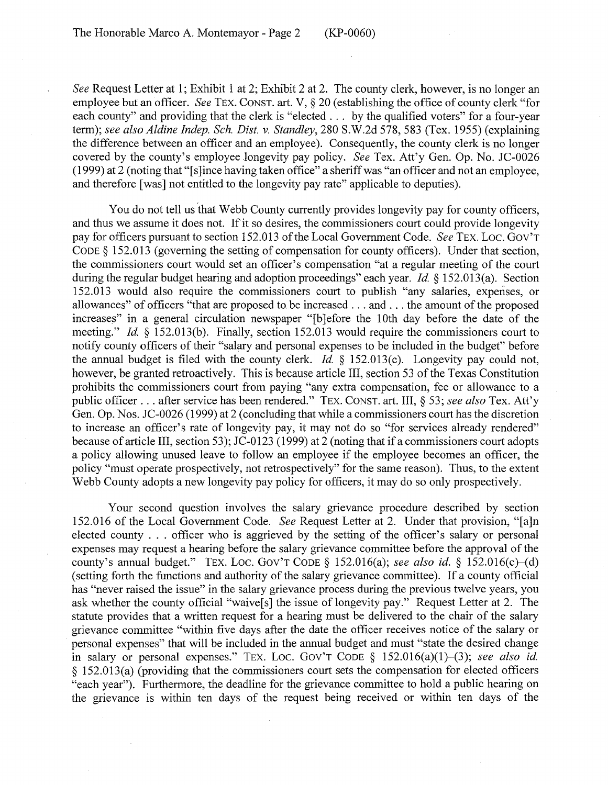*See* Request Letter at 1; Exhibit 1 at 2; Exhibit 2 at 2. The county clerk, however, is no longer an employee but an officer. *See* TEX. CONST. art. V, § 20 (establishing the office of county clerk "for each county" and providing that the clerk is "elected . . . by the qualified voters" for a four-year term); *see also Aldine Indep. Sch. Dist. v. Standley,* 280 S.W.2d 578, 583 (Tex. 1955) (explaining the difference between an officer and an employee). Consequently, the county clerk is no longer covered by the county's employee longevity pay policy. *See* Tex. Att'y Gen. Op. No. JC-0026 (1999) at 2 (noting that"[ s ]ince having taken office" a sheriff was "an officer and not an employee, and therefore [was] not entitled to the longevity pay rate" applicable to deputies).

You do not tell us that Webb County currently provides longevity pay for county officers, and thus we assume it does not. If it so desires, the commissioners court could provide longevity pay for officers pursuant to section 152.013 of the Local Government Code. *See TEX. LOC. GOV'T* CODE§ 152.013 (governing the setting of compensation for county officers). Under that section, the commissioners court would set an officer's compensation "at a regular meeting of the court during the regular budget hearing and adoption proceedings" each year. *Id* § 152.013(a). Section 152.013 would also require the commissioners court to publish "any salaries, expenses, or allowances" of officers "that are proposed to be increased ... and ... the amount of the proposed increases" in a general circulation newspaper "[b ]efore the 10th day before the date of the meeting." *Id.* § 152.013(b). Finally, section 152.013 would require the commissioners court to notify county officers of their "salary and personal expenses to be included in the budget" before the annual budget is filed with the county clerk. *Id* § 152.013(c). Longevity pay could not, however, be granted retroactively. This is because article III, section 53 of the Texas Constitution prohibits the commissioners court from paying "any extra compensation, fee or allowance to a public officer ... after service has been rendered." TEX. CONST. art. III, § 53; *see also* Tex. Att'y Gen. Op. Nos. JC-0026 (1999) at 2 (concluding that while a commissioners court has the discretion to increase an officer's rate of longevity pay, it may not do so "for services already rendered" because of article III, section 53); JC-0123 (1999) at 2 (noting that if a commissioners court adopts a policy allowing unused leave to follow an employee if the employee becomes an officer, the policy "must operate prospectively, not retrospectively" for the same reason). Thus, to the extent Webb County adopts a new longevity pay policy for officers, it may do so only prospectively.

Your second question involves the salary grievance procedure described by section 152.016 of the Local Government Code. *See* Request Letter at 2. Under that provision; "[a]n elected county ... officer who is aggrieved by the setting of the officer's salary or personal expenses may request a hearing before the salary grievance committee before the approval of the county's annual budget." TEX. LOC. GOV'T CODE  $\S$  152.016(a); *see also id.*  $\S$  152.016(c)–(d) (setting forth the functions and authority of the salary grievance committee). If a county official has "never raised the issue" in the salary grievance process during the previous twelve years, you ask whether the county official "waive[s] the issue of longevity pay." Request Letter at 2. The statute provides that a written request for a hearing must be delivered to the chair of the salary grievance committee "within five days after the date the officer receives notice of the salary or personal expenses" that will be included in the annual budget and must "state the desired change in salary or personal expenses." TEX. Loc. Gov'T CoDE  $\S$  152.016(a)(1)–(3); *see also id.* § 152.013(a) (providing that the commissioners court sets the compensation for elected officers "each year"). Furthermore, the deadline for the grievance committee to hold a public hearing on the grievance is within ten days of the request being received or within ten days of the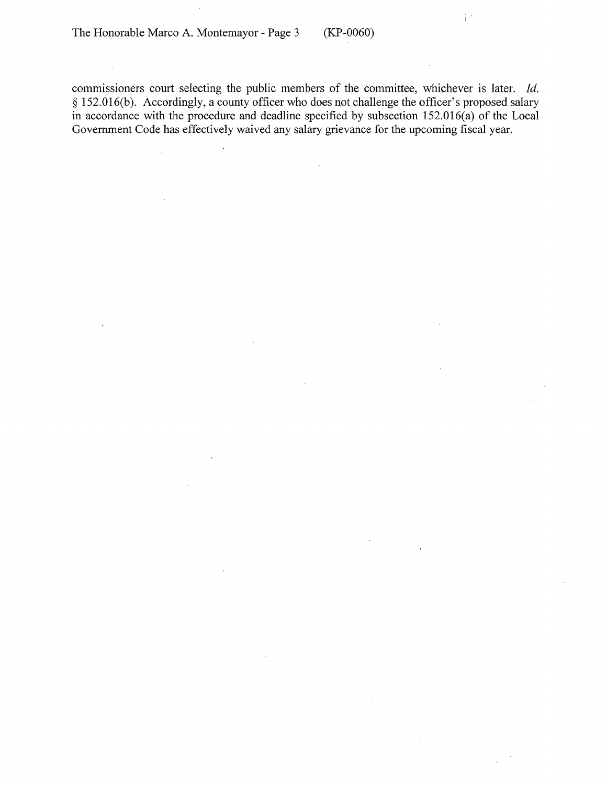commissioners court selecting the public members of the committee, whichever is later. *Id.*  § 152.016(b). Accordingly, a county officer who does not challenge the officer's proposed salary in accordance with the procedure and deadline specified by subsection 152.016(a) of the Local Government Code has effectively waived any salary grievance for the upcoming fiscal year.